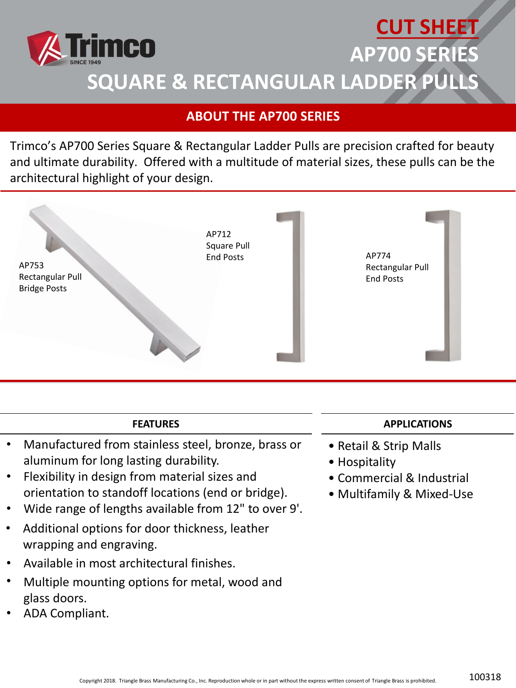

## **ABOUT THE AP700 SERIES**

Trimco's AP700 Series Square & Rectangular Ladder Pulls are precision crafted for beauty and ultimate durability. Offered with a multitude of material sizes, these pulls can be the architectural highlight of your design.



## **FEATURES**

- Manufactured from stainless steel, bronze, brass or aluminum for long lasting durability.
- Flexibility in design from material sizes and orientation to standoff locations (end or bridge).
- Wide range of lengths available from 12" to over 9'.
- Additional options for door thickness, leather wrapping and engraving.
- Available in most architectural finishes.
- Multiple mounting options for metal, wood and glass doors.
- ADA Compliant.

## **APPLICATIONS**

- Retail & Strip Malls
- Hospitality
- Commercial & Industrial
- Multifamily & Mixed-Use